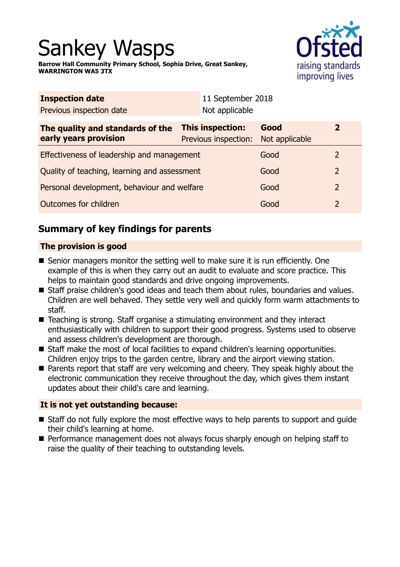# Sankey Wasps

**Barrow Hall Community Primary School, Sophia Drive, Great Sankey, WARRINGTON WA5 3TX**



| Not applicable                               |                        |                                                   |  |
|----------------------------------------------|------------------------|---------------------------------------------------|--|
| This inspection:<br>Previous inspection:     | Good<br>Not applicable | $\overline{2}$                                    |  |
| Effectiveness of leadership and management   |                        | 2                                                 |  |
| Quality of teaching, learning and assessment |                        | $\overline{2}$                                    |  |
| Personal development, behaviour and welfare  |                        | $\overline{2}$                                    |  |
| Outcomes for children                        |                        | $\overline{2}$                                    |  |
|                                              |                        | 11 September 2018<br>Good<br>Good<br>Good<br>Good |  |

# **Summary of key findings for parents**

## **The provision is good**

- $\blacksquare$  Senior managers monitor the setting well to make sure it is run efficiently. One example of this is when they carry out an audit to evaluate and score practice. This helps to maintain good standards and drive ongoing improvements.
- Staff praise children's good ideas and teach them about rules, boundaries and values. Children are well behaved. They settle very well and quickly form warm attachments to staff.
- $\blacksquare$  Teaching is strong. Staff organise a stimulating environment and they interact enthusiastically with children to support their good progress. Systems used to observe and assess children's development are thorough.
- Staff make the most of local facilities to expand children's learning opportunities. Children enjoy trips to the garden centre, library and the airport viewing station.
- Parents report that staff are very welcoming and cheery. They speak highly about the electronic communication they receive throughout the day, which gives them instant updates about their child's care and learning.

## **It is not yet outstanding because:**

- Staff do not fully explore the most effective ways to help parents to support and quide their child's learning at home.
- Performance management does not always focus sharply enough on helping staff to raise the quality of their teaching to outstanding levels.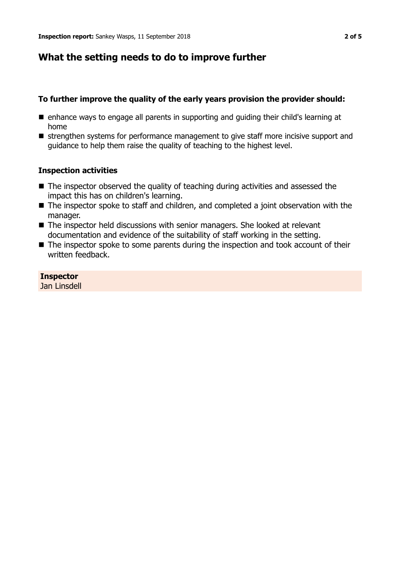## **What the setting needs to do to improve further**

## **To further improve the quality of the early years provision the provider should:**

- enhance ways to engage all parents in supporting and guiding their child's learning at home
- strengthen systems for performance management to give staff more incisive support and guidance to help them raise the quality of teaching to the highest level.

## **Inspection activities**

- $\blacksquare$  The inspector observed the quality of teaching during activities and assessed the impact this has on children's learning.
- $\blacksquare$  The inspector spoke to staff and children, and completed a joint observation with the manager.
- $\blacksquare$  The inspector held discussions with senior managers. She looked at relevant documentation and evidence of the suitability of staff working in the setting.
- $\blacksquare$  The inspector spoke to some parents during the inspection and took account of their written feedback.

**Inspector** Jan Linsdell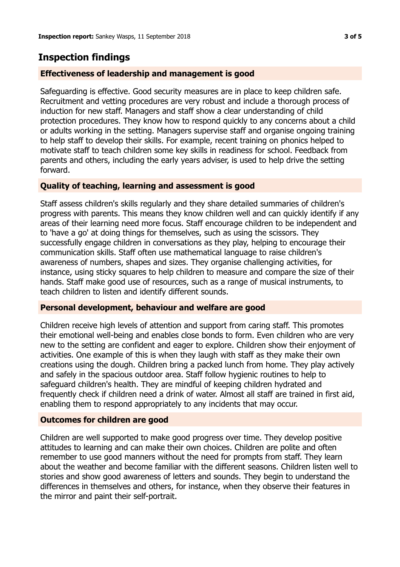## **Inspection findings**

## **Effectiveness of leadership and management is good**

Safeguarding is effective. Good security measures are in place to keep children safe. Recruitment and vetting procedures are very robust and include a thorough process of induction for new staff. Managers and staff show a clear understanding of child protection procedures. They know how to respond quickly to any concerns about a child or adults working in the setting. Managers supervise staff and organise ongoing training to help staff to develop their skills. For example, recent training on phonics helped to motivate staff to teach children some key skills in readiness for school. Feedback from parents and others, including the early years adviser, is used to help drive the setting forward.

## **Quality of teaching, learning and assessment is good**

Staff assess children's skills regularly and they share detailed summaries of children's progress with parents. This means they know children well and can quickly identify if any areas of their learning need more focus. Staff encourage children to be independent and to 'have a go' at doing things for themselves, such as using the scissors. They successfully engage children in conversations as they play, helping to encourage their communication skills. Staff often use mathematical language to raise children's awareness of numbers, shapes and sizes. They organise challenging activities, for instance, using sticky squares to help children to measure and compare the size of their hands. Staff make good use of resources, such as a range of musical instruments, to teach children to listen and identify different sounds.

#### **Personal development, behaviour and welfare are good**

Children receive high levels of attention and support from caring staff. This promotes their emotional well-being and enables close bonds to form. Even children who are very new to the setting are confident and eager to explore. Children show their enjoyment of activities. One example of this is when they laugh with staff as they make their own creations using the dough. Children bring a packed lunch from home. They play actively and safely in the spacious outdoor area. Staff follow hygienic routines to help to safeguard children's health. They are mindful of keeping children hydrated and frequently check if children need a drink of water. Almost all staff are trained in first aid, enabling them to respond appropriately to any incidents that may occur.

#### **Outcomes for children are good**

Children are well supported to make good progress over time. They develop positive attitudes to learning and can make their own choices. Children are polite and often remember to use good manners without the need for prompts from staff. They learn about the weather and become familiar with the different seasons. Children listen well to stories and show good awareness of letters and sounds. They begin to understand the differences in themselves and others, for instance, when they observe their features in the mirror and paint their self-portrait.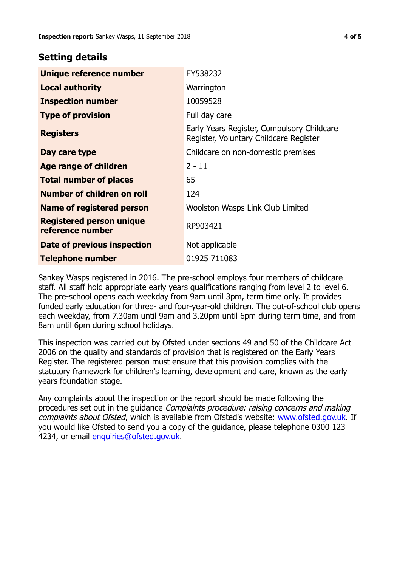## **Setting details**

| Unique reference number                             | EY538232                                                                             |
|-----------------------------------------------------|--------------------------------------------------------------------------------------|
| <b>Local authority</b>                              | Warrington                                                                           |
| <b>Inspection number</b>                            | 10059528                                                                             |
| <b>Type of provision</b>                            | Full day care                                                                        |
| <b>Registers</b>                                    | Early Years Register, Compulsory Childcare<br>Register, Voluntary Childcare Register |
| Day care type                                       | Childcare on non-domestic premises                                                   |
| Age range of children                               | $2 - 11$                                                                             |
| <b>Total number of places</b>                       | 65                                                                                   |
| Number of children on roll                          | 124                                                                                  |
| Name of registered person                           | Woolston Wasps Link Club Limited                                                     |
| <b>Registered person unique</b><br>reference number | RP903421                                                                             |
| Date of previous inspection                         | Not applicable                                                                       |
| <b>Telephone number</b>                             | 01925 711083                                                                         |

Sankey Wasps registered in 2016. The pre-school employs four members of childcare staff. All staff hold appropriate early years qualifications ranging from level 2 to level 6. The pre-school opens each weekday from 9am until 3pm, term time only. It provides funded early education for three- and four-year-old children. The out-of-school club opens each weekday, from 7.30am until 9am and 3.20pm until 6pm during term time, and from 8am until 6pm during school holidays.

This inspection was carried out by Ofsted under sections 49 and 50 of the Childcare Act 2006 on the quality and standards of provision that is registered on the Early Years Register. The registered person must ensure that this provision complies with the statutory framework for children's learning, development and care, known as the early years foundation stage.

Any complaints about the inspection or the report should be made following the procedures set out in the guidance Complaints procedure: raising concerns and making complaints about Ofsted, which is available from Ofsted's website: www.ofsted.gov.uk. If you would like Ofsted to send you a copy of the guidance, please telephone 0300 123 4234, or email [enquiries@ofsted.gov.uk.](mailto:enquiries@ofsted.gov.uk)